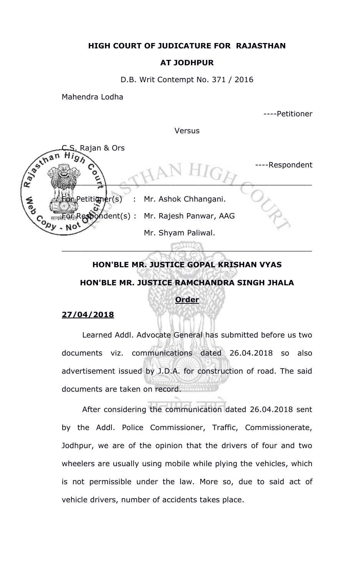## **HIGH COURT OF JUDICATURE FOR RAJASTHAN**

## **AT JODHPUR**

D.B. Writ Contempt No. 371 / 2016

Mahendra Lodha

----Petitioner

Versus



## **HON'BLE MR. JUSTICE GOPAL KRISHAN VYAS HON'BLE MR. JUSTICE RAMCHANDRA SINGH JHALA Order**

## **27/04/2018**

Learned Addl. Advocate General has submitted before us two documents viz. communications dated 26.04.2018 so also advertisement issued by J.D.A. for construction of road. The said documents are taken on record.

After considering the communication dated 26.04.2018 sent by the Addl. Police Commissioner, Traffic, Commissionerate, Jodhpur, we are of the opinion that the drivers of four and two wheelers are usually using mobile while plying the vehicles, which is not permissible under the law. More so, due to said act of vehicle drivers, number of accidents takes place.